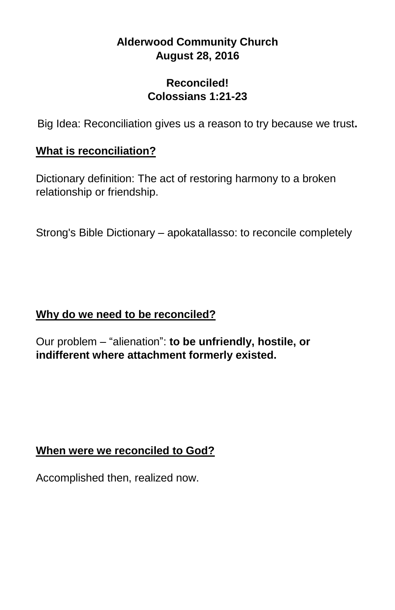# **Alderwood Community Church August 28, 2016**

#### **Reconciled! Colossians 1:21-23**

Big Idea: Reconciliation gives us a reason to try because we trust**.**

## **What is reconciliation?**

Dictionary definition: The act of restoring harmony to a broken relationship or friendship.

Strong's Bible Dictionary – apokatallasso: to reconcile completely

## **Why do we need to be reconciled?**

Our problem – "alienation": **to be unfriendly, hostile, or indifferent where attachment formerly existed.**

#### **When were we reconciled to God?**

Accomplished then, realized now.